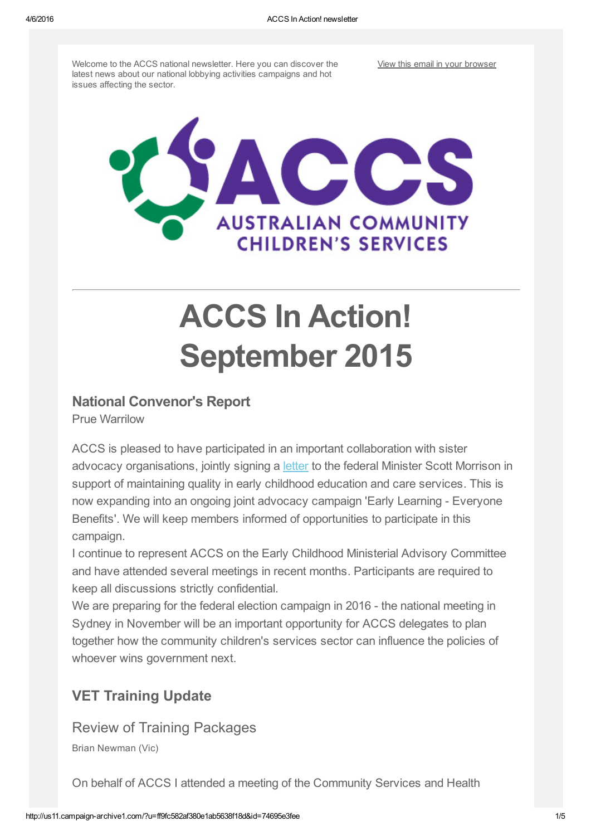Welcome to the ACCS national newsletter. Here you can discover the latest news about our national lobbying activities campaigns and hot issues affecting the sector.

View this email in your [browser](http://us11.campaign-archive2.com/?u=ff9fc582af380e1ab5638f18d&id=74695e3fee&e=[UNIQID])



# ACCS In Action! September 2015

## National Convenor's Report

Prue Warrilow

ACCS is pleased to have participated in an important collaboration with sister advocacy organisations, jointly signing a [letter](https://gallery.mailchimp.com/ff9fc582af380e1ab5638f18d/files/Early_Learning_Everyone_Benefits.pdf) to the federal Minister Scott Morrison in support of maintaining quality in early childhood education and care services. This is now expanding into an ongoing joint advocacy campaign 'Early Learning - Everyone Benefits'. We will keep members informed of opportunities to participate in this campaign.

I continue to represent ACCS on the Early Childhood Ministerial Advisory Committee and have attended several meetings in recent months. Participants are required to keep all discussions strictly confidential.

We are preparing for the federal election campaign in 2016 - the national meeting in Sydney in November will be an important opportunity for ACCS delegates to plan together how the community children's services sector can influence the policies of whoever wins government next.

# VET Training Update

Review of Training Packages

Brian Newman (Vic)

On behalf of ACCS I attended a meeting of the Community Services and Health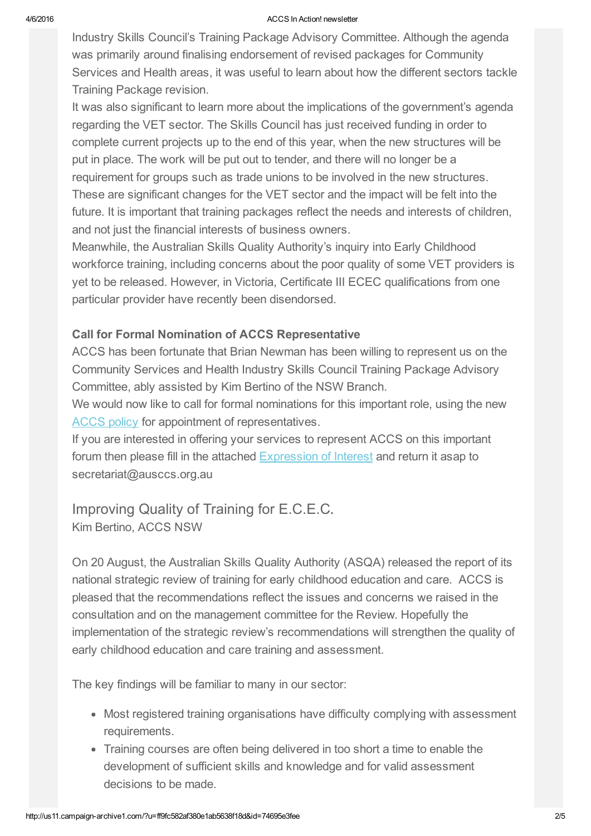#### 4/6/2016 ACCS In Action! newsletter

Industry Skills Council's Training Package Advisory Committee. Although the agenda was primarily around finalising endorsement of revised packages for Community Services and Health areas, it was useful to learn about how the different sectors tackle Training Package revision.

It was also significant to learn more about the implications of the government's agenda regarding the VET sector. The Skills Council has just received funding in order to complete current projects up to the end of this year, when the new structures will be put in place. The work will be put out to tender, and there will no longer be a requirement for groups such as trade unions to be involved in the new structures. These are significant changes for the VET sector and the impact will be felt into the future. It is important that training packages reflect the needs and interests of children, and not just the financial interests of business owners.

Meanwhile, the Australian Skills Quality Authority's inquiry into Early Childhood workforce training, including concerns about the poor quality of some VET providers is yet to be released. However, in Victoria, Certificate III ECEC qualifications from one particular provider have recently been disendorsed.

#### Call for Formal Nomination of ACCS Representative

ACCS has been fortunate that Brian Newman has been willing to represent us on the Community Services and Health Industry Skills Council Training Package Advisory Committee, ably assisted by Kim Bertino of the NSW Branch.

We would now like to call for formal nominations for this important role, using the new [ACCS](https://gallery.mailchimp.com/ff9fc582af380e1ab5638f18d/files/PROTOCOL_FOR_ACCS_REPRESENTATIVES_ON_REFERENCE_GROUPS_1_.pdf) policy for appointment of representatives.

If you are interested in offering your services to represent ACCS on this important forum then please fill in the attached **[Expression](https://gallery.mailchimp.com/ff9fc582af380e1ab5638f18d/files/National_Reference_Group_Expression_of_Interest_TPAC_July_2015.docx) of Interest** and return it asap to secretariat@ausccs.org.au

Improving Quality of Training for E.C.E.C. Kim Bertino, ACCS NSW

On 20 August, the Australian Skills Quality Authority (ASQA) released the report of its national strategic review of training for early childhood education and care. ACCS is pleased that the recommendations reflect the issues and concerns we raised in the consultation and on the management committee for the Review. Hopefully the implementation of the strategic review's recommendations will strengthen the quality of early childhood education and care training and assessment.

The key findings will be familiar to many in our sector:

- Most registered training organisations have difficulty complying with assessment requirements.
- Training courses are often being delivered in too short a time to enable the development of sufficient skills and knowledge and for valid assessment decisions to be made.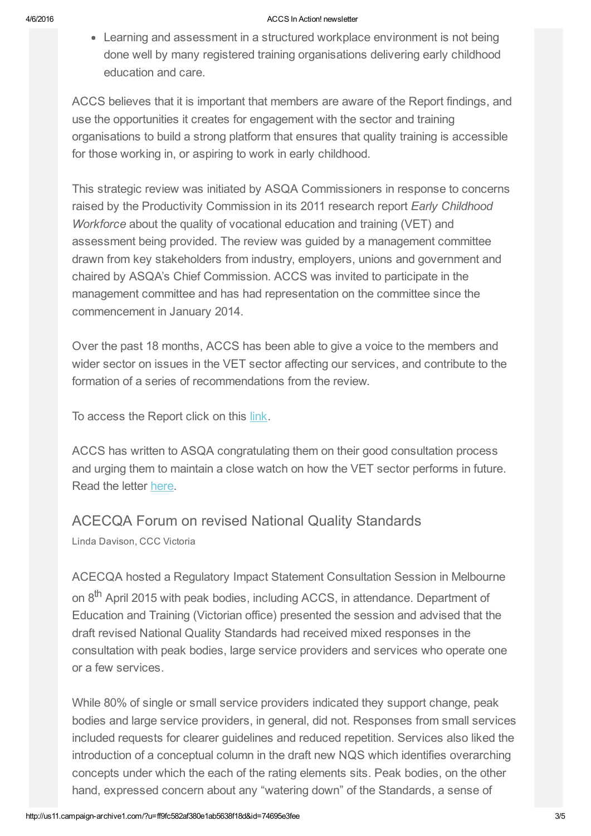#### 4/6/2016 ACCS In Action! newsletter

Learning and assessment in a structured workplace environment is not being done well by many registered training organisations delivering early childhood education and care.

ACCS believes that it is important that members are aware of the Report findings, and use the opportunities it creates for engagement with the sector and training organisations to build a strong platform that ensures that quality training is accessible for those working in, or aspiring to work in early childhood.

This strategic review was initiated by ASQA Commissioners in response to concerns raised by the Productivity Commission in its 2011 research report *Early Childhood Workforce* about the quality of vocational education and training (VET) and assessment being provided. The review was guided by a management committee drawn from key stakeholders from industry, employers, unions and government and chaired by ASQA's Chief Commission. ACCS was invited to participate in the management committee and has had representation on the committee since the commencement in January 2014.

Over the past 18 months, ACCS has been able to give a voice to the members and wider sector on issues in the VET sector affecting our services, and contribute to the formation of a series of recommendations from the review.

To access the Report click on this [link.](http://www.asqa.gov.au/verve/_resources/Strategic_Review_2015_Early_Childhood_Education_Report.pdf)

ACCS has written to ASQA congratulating them on their good consultation process and urging them to maintain a close watch on how the VET sector performs in future. Read the letter [here.](https://gallery.mailchimp.com/ff9fc582af380e1ab5638f18d/files/letter_of_thanks_to_ASQA.pdf)

## ACECQA Forum on revised National Quality Standards

Linda Davison, CCC Victoria

ACECQA hosted a Regulatory Impact Statement Consultation Session in Melbourne on 8<sup>th</sup> April 2015 with peak bodies, including ACCS, in attendance. Department of Education and Training (Victorian office) presented the session and advised that the draft revised National Quality Standards had received mixed responses in the consultation with peak bodies, large service providers and services who operate one or a few services.

While 80% of single or small service providers indicated they support change, peak bodies and large service providers, in general, did not. Responses from small services included requests for clearer guidelines and reduced repetition. Services also liked the introduction of a conceptual column in the draft new NQS which identifies overarching concepts under which the each of the rating elements sits. Peak bodies, on the other hand, expressed concern about any "watering down" of the Standards, a sense of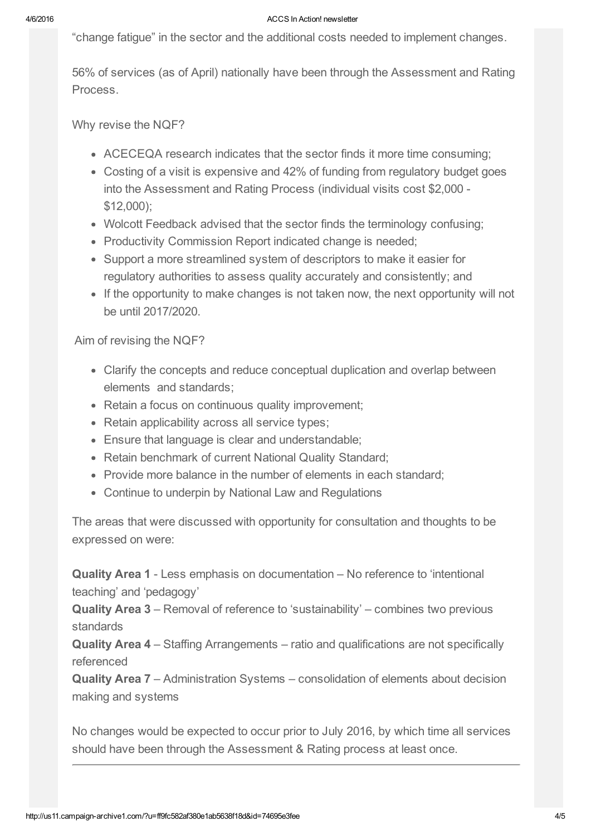#### 4/6/2016 ACCS In Action! newsletter

"change fatigue" in the sector and the additional costs needed to implement changes.

56% of services (as of April) nationally have been through the Assessment and Rating Process.

Why revise the NQF?

- ACECEQA research indicates that the sector finds it more time consuming;
- Costing of a visit is expensive and 42% of funding from regulatory budget goes into the Assessment and Rating Process (individual visits cost \$2,000 \$12,000);
- Wolcott Feedback advised that the sector finds the terminology confusing;
- Productivity Commission Report indicated change is needed;
- Support a more streamlined system of descriptors to make it easier for regulatory authorities to assess quality accurately and consistently; and
- If the opportunity to make changes is not taken now, the next opportunity will not be until 2017/2020.

Aim of revising the NQF?

- Clarify the concepts and reduce conceptual duplication and overlap between elements and standards;
- Retain a focus on continuous quality improvement;
- Retain applicability across all service types;
- Ensure that language is clear and understandable;
- Retain benchmark of current National Quality Standard;
- Provide more balance in the number of elements in each standard;
- Continue to underpin by National Law and Regulations

The areas that were discussed with opportunity for consultation and thoughts to be expressed on were:

Quality Area 1 Less emphasis on documentation – No reference to 'intentional teaching' and 'pedagogy'

Quality Area 3 – Removal of reference to 'sustainability' – combines two previous standards

Quality Area 4 – Staffing Arrangements – ratio and qualifications are not specifically referenced

Quality Area 7 – Administration Systems – consolidation of elements about decision making and systems

No changes would be expected to occur prior to July 2016, by which time all services should have been through the Assessment & Rating process at least once.